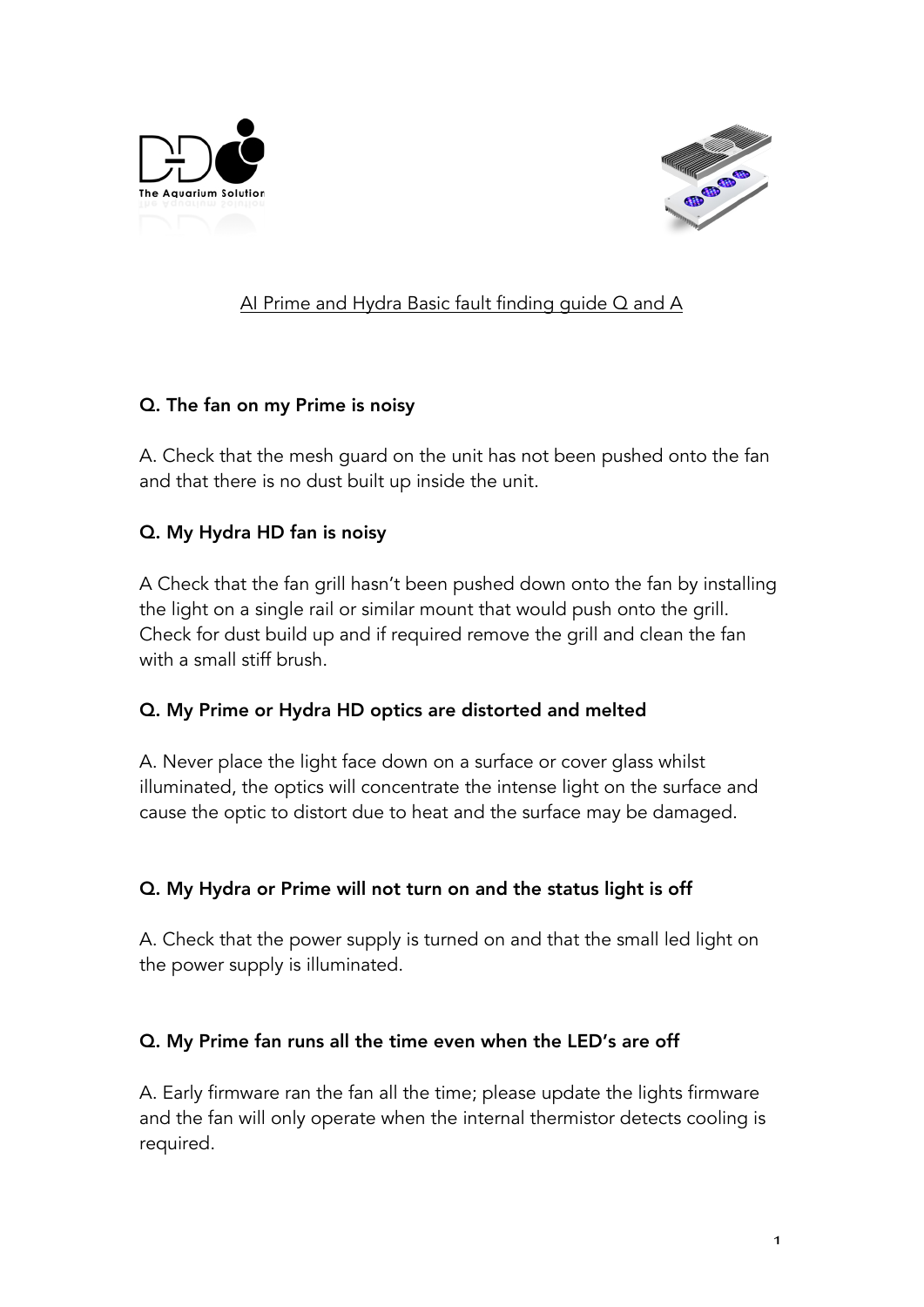



# AI Prime and Hydra Basic fault finding guide Q and A

### Q. The fan on my Prime is noisy

A. Check that the mesh guard on the unit has not been pushed onto the fan and that there is no dust built up inside the unit.

### Q. My Hydra HD fan is noisy

A Check that the fan grill hasn't been pushed down onto the fan by installing the light on a single rail or similar mount that would push onto the grill. Check for dust build up and if required remove the grill and clean the fan with a small stiff brush.

#### Q. My Prime or Hydra HD optics are distorted and melted

A. Never place the light face down on a surface or cover glass whilst illuminated, the optics will concentrate the intense light on the surface and cause the optic to distort due to heat and the surface may be damaged.

## Q. My Hydra or Prime will not turn on and the status light is off

A. Check that the power supply is turned on and that the small led light on the power supply is illuminated.

#### Q. My Prime fan runs all the time even when the LED's are off

A. Early firmware ran the fan all the time; please update the lights firmware and the fan will only operate when the internal thermistor detects cooling is required.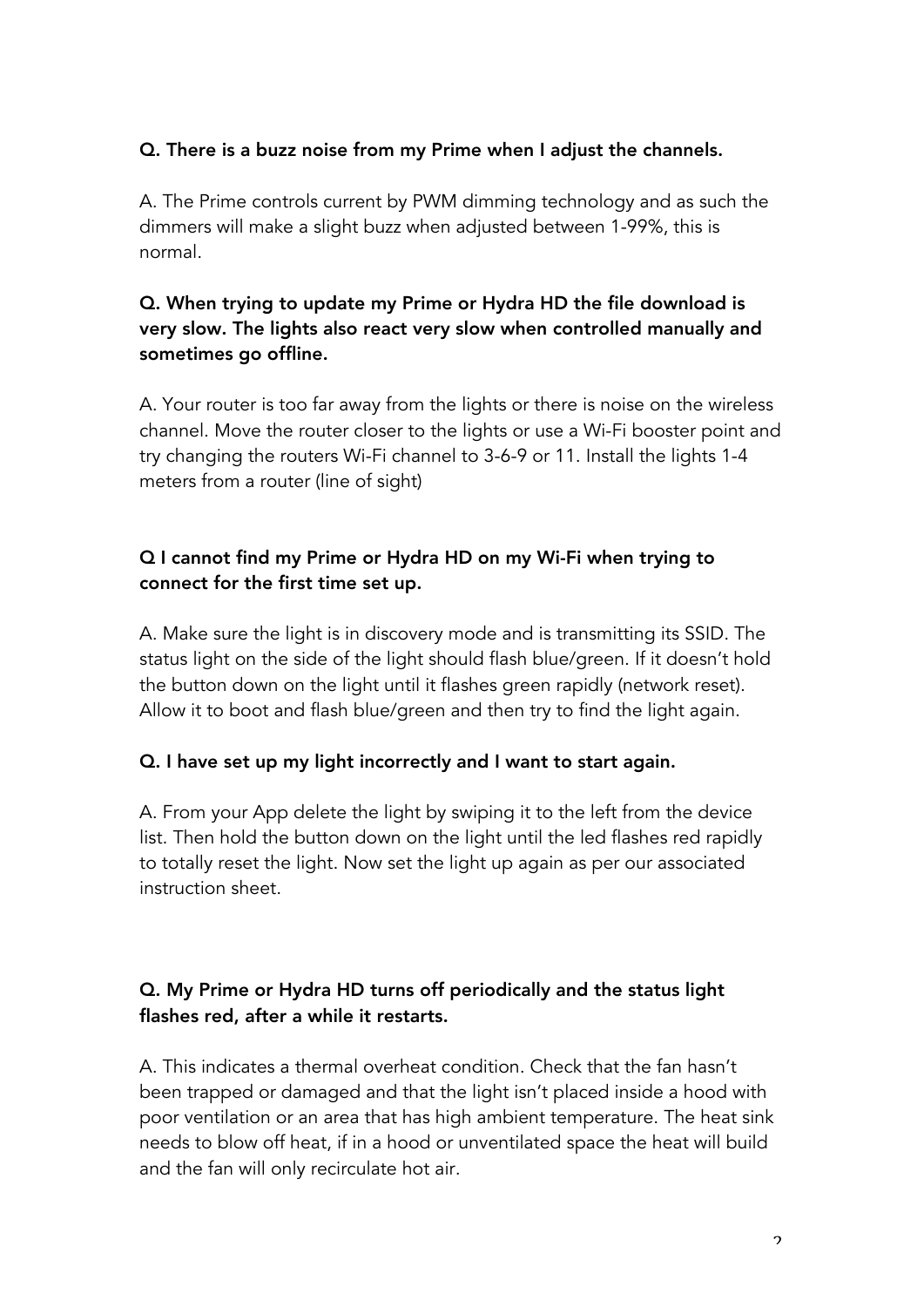### Q. There is a buzz noise from my Prime when I adjust the channels.

A. The Prime controls current by PWM dimming technology and as such the dimmers will make a slight buzz when adjusted between 1-99%, this is normal.

# Q. When trying to update my Prime or Hydra HD the file download is very slow. The lights also react very slow when controlled manually and sometimes go offline.

A. Your router is too far away from the lights or there is noise on the wireless channel. Move the router closer to the lights or use a Wi-Fi booster point and try changing the routers Wi-Fi channel to 3-6-9 or 11. Install the lights 1-4 meters from a router (line of sight)

## Q I cannot find my Prime or Hydra HD on my Wi-Fi when trying to connect for the first time set up.

A. Make sure the light is in discovery mode and is transmitting its SSID. The status light on the side of the light should flash blue/green. If it doesn't hold the button down on the light until it flashes green rapidly (network reset). Allow it to boot and flash blue/green and then try to find the light again.

#### Q. I have set up my light incorrectly and I want to start again.

A. From your App delete the light by swiping it to the left from the device list. Then hold the button down on the light until the led flashes red rapidly to totally reset the light. Now set the light up again as per our associated instruction sheet.

# Q. My Prime or Hydra HD turns off periodically and the status light flashes red, after a while it restarts.

A. This indicates a thermal overheat condition. Check that the fan hasn't been trapped or damaged and that the light isn't placed inside a hood with poor ventilation or an area that has high ambient temperature. The heat sink needs to blow off heat, if in a hood or unventilated space the heat will build and the fan will only recirculate hot air.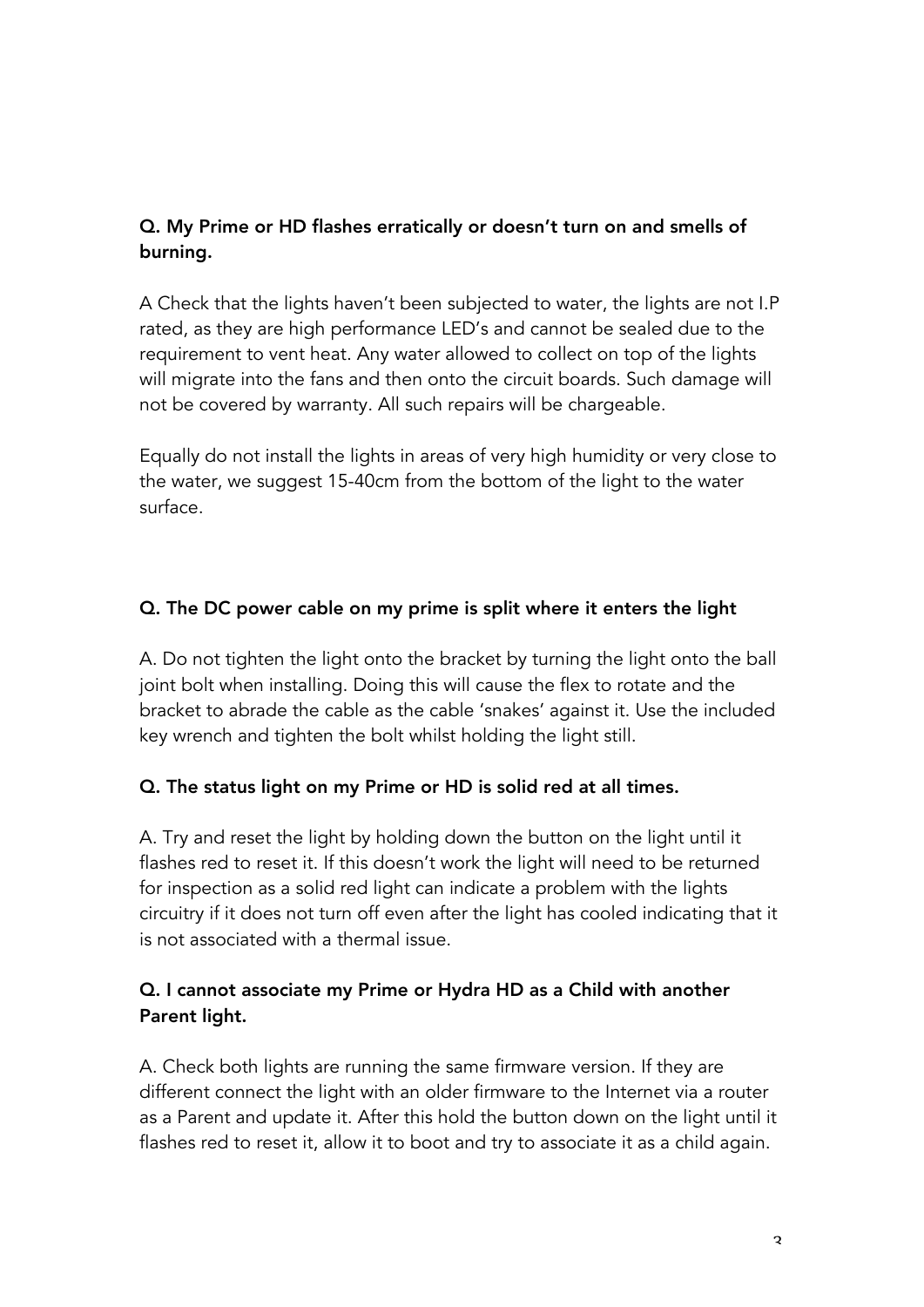# Q. My Prime or HD flashes erratically or doesn't turn on and smells of burning.

A Check that the lights haven't been subjected to water, the lights are not I.P rated, as they are high performance LED's and cannot be sealed due to the requirement to vent heat. Any water allowed to collect on top of the lights will migrate into the fans and then onto the circuit boards. Such damage will not be covered by warranty. All such repairs will be chargeable.

Equally do not install the lights in areas of very high humidity or very close to the water, we suggest 15-40cm from the bottom of the light to the water surface.

## Q. The DC power cable on my prime is split where it enters the light

A. Do not tighten the light onto the bracket by turning the light onto the ball joint bolt when installing. Doing this will cause the flex to rotate and the bracket to abrade the cable as the cable 'snakes' against it. Use the included key wrench and tighten the bolt whilst holding the light still.

#### Q. The status light on my Prime or HD is solid red at all times.

A. Try and reset the light by holding down the button on the light until it flashes red to reset it. If this doesn't work the light will need to be returned for inspection as a solid red light can indicate a problem with the lights circuitry if it does not turn off even after the light has cooled indicating that it is not associated with a thermal issue.

## Q. I cannot associate my Prime or Hydra HD as a Child with another Parent light.

A. Check both lights are running the same firmware version. If they are different connect the light with an older firmware to the Internet via a router as a Parent and update it. After this hold the button down on the light until it flashes red to reset it, allow it to boot and try to associate it as a child again.